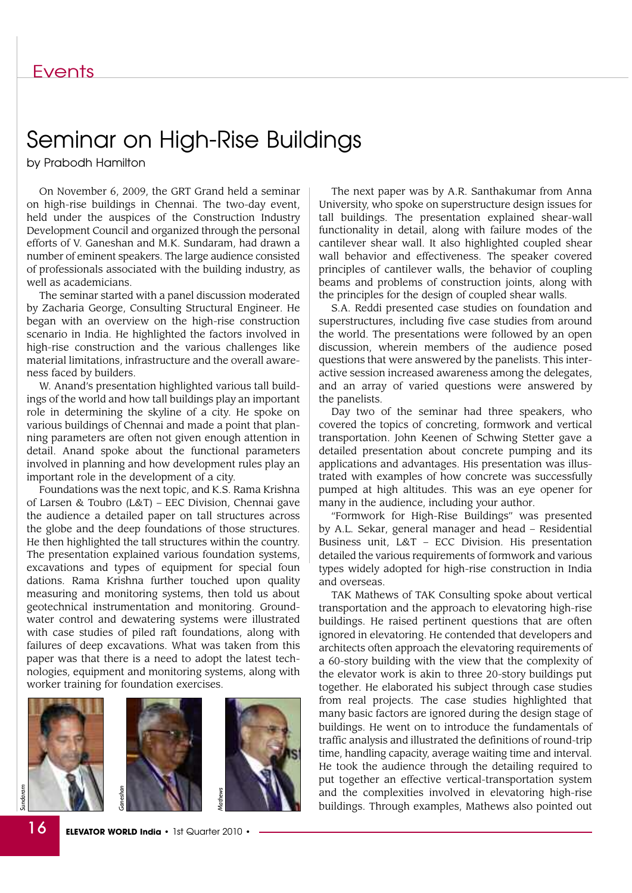## Seminar on High-Rise Buildings

by Prabodh Hamilton

On November 6, 2009, the GRT Grand held a seminar on high-rise buildings in Chennai. The two-day event, held under the auspices of the Construction Industry Development Council and organized through the personal efforts of V. Ganeshan and M.K. Sundaram, had drawn a number of eminent speakers. The large audience consisted of professionals associated with the building industry, as well as academicians.

The seminar started with a panel discussion moderated by Zacharia George, Consulting Structural Engineer. He began with an overview on the high-rise construction scenario in India. He highlighted the factors involved in high-rise construction and the various challenges like material limitations, infrastructure and the overall awareness faced by builders.

W. Anand's presentation highlighted various tall buildings of the world and how tall buildings play an important role in determining the skyline of a city. He spoke on various buildings of Chennai and made a point that planning parameters are often not given enough attention in detail. Anand spoke about the functional parameters involved in planning and how development rules play an important role in the development of a city.

Foundations was the next topic, and K.S. Rama Krishna of Larsen & Toubro (L&T) – EEC Division, Chennai gave the audience a detailed paper on tall structures across the globe and the deep foundations of those structures. He then highlighted the tall structures within the country. The presentation explained various foundation systems, excavations and types of equipment for special foun dations. Rama Krishna further touched upon quality measuring and monitoring systems, then told us about geotechnical instrumentation and monitoring. Groundwater control and dewatering systems were illustrated with case studies of piled raft foundations, along with failures of deep excavations. What was taken from this paper was that there is a need to adopt the latest technologies, equipment and monitoring systems, along with worker training for foundation exercises.







The next paper was by A.R. Santhakumar from Anna University, who spoke on superstructure design issues for tall buildings. The presentation explained shear-wall functionality in detail, along with failure modes of the cantilever shear wall. It also highlighted coupled shear wall behavior and effectiveness. The speaker covered principles of cantilever walls, the behavior of coupling beams and problems of construction joints, along with the principles for the design of coupled shear walls.

S.A. Reddi presented case studies on foundation and superstructures, including five case studies from around the world. The presentations were followed by an open discussion, wherein members of the audience posed questions that were answered by the panelists. This interactive session increased awareness among the delegates, and an array of varied questions were answered by the panelists.

Day two of the seminar had three speakers, who covered the topics of concreting, formwork and vertical transportation. John Keenen of Schwing Stetter gave a detailed presentation about concrete pumping and its applications and advantages. His presentation was illustrated with examples of how concrete was successfully pumped at high altitudes. This was an eye opener for many in the audience, including your author.

"Formwork for High-Rise Buildings" was presented by A.L. Sekar, general manager and head – Residential Business unit, L&T – ECC Division. His presentation detailed the various requirements of formwork and various types widely adopted for high-rise construction in India and overseas.

TAK Mathews of TAK Consulting spoke about vertical transportation and the approach to elevatoring high-rise buildings. He raised pertinent questions that are often ignored in elevatoring. He contended that developers and architects often approach the elevatoring requirements of a 60-story building with the view that the complexity of the elevator work is akin to three 20-story buildings put together. He elaborated his subject through case studies from real projects. The case studies highlighted that many basic factors are ignored during the design stage of buildings. He went on to introduce the fundamentals of traffic analysis and illustrated the definitions of round-trip time, handling capacity, average waiting time and interval. He took the audience through the detailing required to put together an effective vertical-transportation system and the complexities involved in elevatoring high-rise buildings. Through examples, Mathews also pointed out